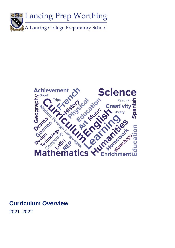



### **Curriculum Overview**

2021–2022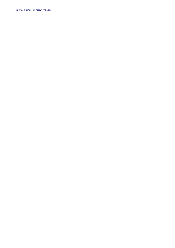**LPW CURRICULUM GUIDE 2021-2022**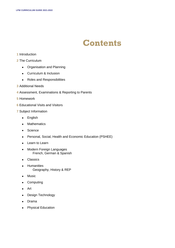### **Contents**

#### **1** Introduction

- **2** The Curriculum
	- Organisation and Planning
	- Curriculum & Inclusion
	- Roles and Responsibilities
- **3** Additional Needs
- **4** Assessment, Examinations & Reporting to Parents
- **5** Homework
- **6** Educational Visits and Visitors
- **7** Subject Information
	- English
	- Mathematics
	- Science
	- Personal, Social, Health and Economic Education (PSHEE)
	- Learn to Learn
	- Modern Foreign Languages French, German & Spanish
	- **Classics**
	- Humanities Geography, History & REP
	- Music
	- Computing
	- Art
	- Design Technology
	- Drama
	- Physical Education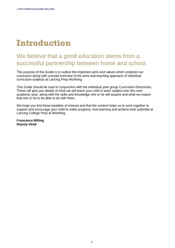### **Introduction**

### We believe that a good education stems from a successful partnership between home and school.

The purpose of this Guide is to outline the important aims and values which underpin our curriculum along with a broad overview of the aims and teaching approach of individual curriculum subjects at Lancing Prep Worthing.

This Guide should be read in conjunction with the individual year group Curriculum Directories. These will give you details of what we will teach your child in each subject over this next academic year, along with the skills and knowledge she or he will acquire and what we expect that she or he to be able to do with them.

We hope you find these booklets of interest and that the content helps us to work together to support and encourage your child to make progress, love learning and achieve their potential at Lancing College Prep at Worthing.

**Francesca Milling Deputy Head**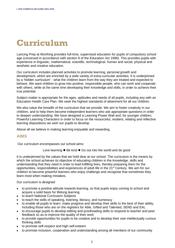

Lancing Prep at Worthing provides full-time, supervised education for pupils of compulsory school age (construed in accordance with section 8 of the Education Act 1996). This provides pupils with experience in linguistic, mathematical, scientific, technological, human and social, physical and aesthetic and creative education.

Our curriculum includes planned activities to promote learning, personal growth and development, which are enriched by a wide variety of extra-curricular activities. It is underpinned by a 'hidden curriculum' - what the children learn from the way they are treated and expected to behave. We want children to grow into positive, responsible people, who can work and cooperate with others, while at the same time developing their knowledge and skills, in order to achieve their true potential.

Subject matter is appropriate for the ages, aptitudes and needs of all pupils, including any with an Education Health Care Plan. We seek the highest standards of attainment for all our children.

We also value the breadth of the curriculum that we provide. We aim to foster creativity in our children, and to help them become independent learners who ask appropriate questions in order to deepen understanding. We have designed a Learning Power Wall and, for younger children, Powerful Learning Characters in order to focus on the resourceful, resilient, relating and reflective learning dispositions we wish our pupils to develop.

Above all we believe in making learning enjoyable and rewarding.

#### **AIMS**

Our curriculum encompasses our school aims:

Love learning ⚫ Be kind ⚫ Go out into the world and do good

It is underpinned by the values that we hold dear at our school. The curriculum is the means by which the school achieves its objective of educating children in the knowledge, skills and understanding that they need in order to lead fulfilling lives, thereby preparing them for the opportunities, responsibilities and experiences of adult life in the 21st Century. We aim for our children to become powerful learners who enjoy challenge and recognise that sometimes they learn most when making mistakes.

#### Our curriculum is designed

- to promote a positive attitude towards learning, so that pupils enjoy coming to school and acquire a solid basis for lifelong learning
- to teach National Curriculum Subjects
- to teach the skills of speaking, listening, literacy, and numeracy
- to enable all pupils to learn, make progress and develop their skills to the best of their ability, including those who are on the registers for Able, Gifted and Talented, SEND and EAL
- to encourage pupils to develop editing and proofreading skills to respond to teacher and peer feedback so as to improve the quality of their work
- to provide opportunities for pupils to be creative and to develop their own intellectually curious thinking skills
- to promote self-respect and high self-esteem
- to promote inclusion, cooperation and understanding among all members of our community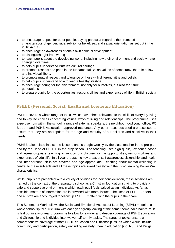- to encourage respect for other people, paying particular regard to the protected characteristics of gender, race, religion or belief, sex and sexual orientation as set out in the 2010 Act (a)
- to encourage an awareness of one's own spiritual development
- to distinguish right from wrong
- to teach pupils about the developing world, including how their environment and society have changed over time
- to help pupils understand Britain's cultural heritage
- to promote respect and pride in the fundamental British values of democracy, the rule of law and individual liberty
- to promote mutual respect and tolerance of those with different faiths and beliefs
- to help pupils understand how to lead a healthy lifestyle
- to encourage caring for the environment, not only for ourselves, but also for future generations
- to prepare pupils for the opportunities, responsibilities and experiences of life in British society

#### **PSHEE (Personal, Social, Health and Economic Education)**

PSHEE covers a whole range of topics which have direct relevance to the skills of everyday living and to key life choices concerning values, ways of living and relationships. The programme uses expertise from within the school, a range of external speakers, the neighbourhood youth office, PC Bartram and PSHE Association approved resources. Any other resources used are assessed to ensure that they are appropriate for the age and maturity of our children and sensitive to their needs.

PSHEE takes place in discrete lessons and is taught weekly by the class teacher in the pre-prep and by the Head of PSHEE in the prep school. The teaching uses high quality, evidence based and age-appropriate teaching to support our children for the opportunities, responsibilities and experiences of adult life. In all year groups the key areas of self-awareness, citizenship, and health and inter-personal skills are covered and age appropriate. Teaching about mental wellbeing is central to these subjects and all these topics are linked closely with the LPW Learning Power Wall characteristics.

Whilst pupils are presented with a variety of opinions for their consideration, these sessions are framed by the context of the preparatory school as a Christian foundation striving to provide a safe and supportive environment in which each pupil feels valued as an individual. As far as possible, matters of information are intertwined with moral issues. The Head of PSHEE, tutors and all staff are encouraged to follow up PSHEE matters with the pupils in their care.

This Scheme of Work follows the Social and Emotional Aspects of Learning (SEAL) model of a whole school spiral curriculum with each year group looking at the same theme each half-term. It is laid out in a two-year programme to allow for a wider and deeper coverage of PSHE education and Citizenship and is divided into twelve half-termly topics. The range of topics ensure a comprehensive coverage of most PSHE education and Citizenship issues which would include community and participation, safety (including e-safety), health education (inc. RSE and Drugs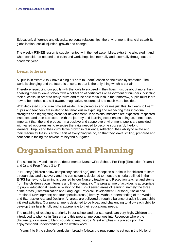Education), difference and diversity, personal relationships, the environment, financial capability, globalisation, social injustice, growth and change.

The weekly PSHEE lesson is supplemented with themed assemblies, extra time allocated if and when considered needed and talks and workshops led internally and externally throughout the academic year.

#### **Learn to Learn**

All pupils in Years 3 to 7 have a single 'Learn to Learn' lesson on their weekly timetable. The world is changing and the future is uncertain; that is the only thing which is certain.

Therefore, equipping our pupils with the tools to succeed in their lives must be about more than enabling them to leave school with a collection of certificates or assortment of numbers indicating their success. In order to really thrive and to be able to flourish in the tomorrow, pupils must learn how to be methodical, self-aware, imaginative, resourceful and much more besides.

With dedicated curriculum time set aside, LPW promotes and values just this. In 'Learn to Learn' pupils and teachers are invited to be tenacious in exploring and respecting their individual strengths and highlighting areas for development. In sessions, mistakes are expected, respected, inspected and then corrected –with the journey and learning experiences being as, if not more, important than the end product. In a positive and supportive environment, pupils are provided with varied opportunities to exercise the traits needed to become successful, life-long learners. Pupils and their cumulative growth in resilience, reflection, their ability to relate and their resourcefulness is at the heart of everything we do, so that they leave smiling, prepared and confident in facing the adventure beyond our gates.

## **Organisation and Planning**

The school is divided into three departments; Nursery/Pre-School, Pre-Prep (Reception, Years 1 and 2) and Prep (Years 3 to 8).

In Nursery (children below compulsory school age) and Reception our aim is for children to learn through play and discovery and the curriculum is designed to meet the criteria outlined in the EYFS framework. Learning is planned by our Nursery teacher and Reception teacher and stems from the children's own interests and lines of enquiry. The programme of activities is appropriate to pupils' educational needs in relation to the EYFS seven areas of learning, namely the three prime areas (Communication and Language, Physical Development, Personal, Social and Emotional Development) and four specific areas (Literacy, Maths, Understanding of the World and Expressive Arts and Design). All areas are delivered through a balance of adult led and childinitiated activities. Our programme is designed to be broad and challenging to allow each child to develop their talents fully and is appropriate to their educational needs.

The teaching of reading is a priority in our school and our standards are very high. Children are introduced to phonics in Nursery and this programme continues into Reception where the children quickly learn to blend sounds to read words. Great emphasis is placed upon the enjoyment and understanding of the written word.

In Years 1 to 6 the school's curriculum broadly follows the requirements set out in the National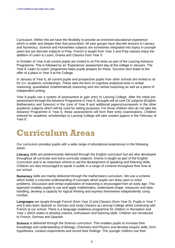Curriculum. Within this we have the flexibility to provide an enriched educational experience which is wider and deeper than that prescribed. All year groups have discrete lessons in Literacy and Numeracy. Science and Humanities subjects are sometimes integrated into topics in younger years but are discrete subjects in Prep. French is taught from Year 2 and Prep classes enjoy the addition of Learn to Learn, Drama and Classics from Year 5.

In October of Year 6 all current pupils are invited to sit Pre-tests as part of the Lancing Advance Programme. This is followed by an 'Experience' assessment day at the college in January. The Year 6 'Learn to Learn' programme helps pupils prepare for these. Success here leads to the offer of a place in Year 9 at the College.

In January of Year 6, all current pupils and prospective pupils from other schools are invited to sit for 11+ academic scholarships. These take the form of cognitive analytical tests in verbal reasoning, quantitative (mathematical) reasoning and non-verbal reasoning as well as a piece of independent writing.

Year 8 pupils use a system of assessment to gain entry to Lancing College. After the initial preassessment through the Advance Programme in Year 6, all pupils will sit core CE subjects (English, Mathematics and Science) in the June of Year 8 and additional papers/coursework in the other academic subjects which will be used for setting purposes. For those children who do not take the Advance Programme in Year 6, these assessments will form their entry examinations. Children entered for academic scholarships to Lancing College will take unseen papers in the February of Year 8.

### **Curriculum Areas**

Our curriculum provides pupils with a wide range of educational experiences in the following areas:

**Literacy** skills are predominantly delivered through the English curriculum but are also developed throughout all curricular and extra-curricular subjects. Drama is taught as part of the English Curriculum and is an important vehicle to aid the development of speaking and listening skills. Children are also encouraged to speak in public in a range of contexts throughout their time at our school.

**Numeracy** skills are mainly delivered through the mathematics curriculum. We use a scheme which builds a concrete understanding of concepts which pupils can draw upon to solve problems. Discussion and verbal explanation of reasoning is encouraged from an early age. This approach enables pupils to use and apply mathematics, understand shape, measures and data handling, develop a capacity for logical thinking and express themselves independently using number.

**Languages** are taught through French (from Year 2) and Classics (from Year 5). Pupils in Year 7 and 8 also learn Spanish or German and study Classics at Lancing College whilst continuing with French at our school. There is a language readiness programme for children in Reception and Year 1 which seeks to develop interest, enthusiasm and listening skills. Children are introduced to French, German and Spanish.

**Science** is delivered through the Science curriculum. This enables pupils to increase their knowledge and understanding of Biology, Chemistry and Physics and develop enquiry skills, form hypotheses, conduct experiments and record their findings. The younger children use their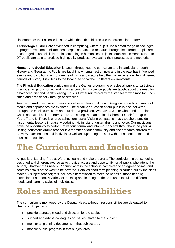classroom for their science lessons while the older children use the science laboratory.

**Technological skills** are developed in computing, where pupils use a broad range of packages to programme, communicate ideas, organise data and research through the internet. Pupils are encouraged to use skills learnt in computing in humanities projects completed in Years 5 to 8. In DT pupils are able to produce high quality products, evaluating their processes and methods.

**Human and Social Education** is taught throughout the curriculum and in particular through History and Geography. Pupils are taught how human action now and in the past has influenced events and conditions. A programme of visits and visitors help them to experience life in different periods of history. Field trips to the local area show them different environments.

The **Physical Education** curriculum and the Games programme enables all pupils to participate in a wide range of sporting and physical pursuits. In science pupils are taught about the need for a balanced diet and healthy eating. This is further reinforced by the staff team who monitor lunch times and occasionally through assemblies.

**Aesthetic and creative education** is delivered through Art and Design where a broad range of media and approaches are explored. The creative education of our pupils is also delivered through the music curriculum and our drama provision. We have a Junior Choir and a Senior Choir, so that all children from Years 3 to 6 sing, with an optional Chamber Choir for pupils in Years 7 and 8. There is a large school orchestra. Visiting peripatetic music teachers provide instrumental lessons in brass, woodwind, violin, piano, guitar, drums and voice. Our musicians have the opportunity to perform at various formal and informal concerts throughout the year. A visiting peripatetic drama teacher is a member of our community and she prepares children for LAMDA examinations and festivals as well as supporting the staff with our school drama and musical productions.

### **The Curriculum and Inclusion**

All pupils at Lancing Prep at Worthing learn and make progress. The curriculum in our school is designed and differentiated so as to provide access and opportunity for all pupils who attend the school, whatever their needs. Planning across the school is completed to an agreed format and contains details of the work to be covered. Detailed short term planning is carried out by the class teacher / subject teacher; this includes differentiation to meet the needs of those needing extension or support. A variety of teaching and learning methods is used to suit the different needs and learning styles of individuals.

## **Roles and Responsibilities**

The curriculum is monitored by the Deputy Head, although responsibilities are delegated to Heads of Subject who:

- provide a strategic lead and direction for the subject
- support and advise colleagues on issues related to the subject
- monitor all planning documents in that subject area
- monitor pupils' progress in that subject area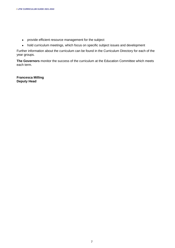- provide efficient resource management for the subject
- hold curriculum meetings, which focus on specific subject issues and development

Further information about the curriculum can be found in the Curriculum Directory for each of the year groups.

**The Governors** monitor the success of the curriculum at the Education Committee which meets each term.

**Francesca Milling Deputy Head**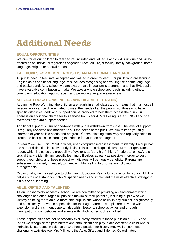### **Additional Needs**

#### **EQUAL OPPORTUNITIES**

We aim for all our children to feel secure, included and valued. Each child is unique and will be treated as an individual regardless of gender, race, culture, disability, family background, home language, religion or special needs.

#### **EAL: PUPILS FOR WHOM ENGLISH IS AN ADDITIONAL LANGUAGE**

All pupils need to feel safe, accepted and valued in order to learn. For pupils who are learning English as an additional language, this includes recognising and valuing their home language and background. As a school, we are aware that bilingualism is a strength and that EAL pupils have a valuable contribution to make. We take a whole school approach, including ethos, curriculum, education against racism and promoting language awareness.

#### **SPECIAL EDUCATIONAL NEEDS AND DISABILITIES (SEND)**

At Lancing Prep Worthing, the children are taught in small classes; this means that in almost all lessons work can be differentiated to meet the needs of all the pupils. For those who have specific difficulties, additional support can be provided to help them access the curriculum. There is an additional charge for this service from Year 4. Mrs Pelling is the SENCO and she oversees any extra support needed.

Additional support is usually one-to-one with pupils withdrawn from class. The level of support is regularly reviewed and modified to suit the needs of the pupil. We aim to keep you fully informed of your child's needs and progress. Communicating effectively and regularly helps to create the best possible learning experience for your son or daughter.

In Year 2 we use Lucid Rapid, a widely used computerised assessment, to identify if a pupil has the sort of difficulties indicative of dyslexia. This is not a diagnostic test but rather generates a report, which indicates the probability of dyslexia as 'very high', 'high', 'moderate' or 'low'. It is crucial that we identify any specific learning difficulties as early as possible in order to best support your child, and these probability indicators will be hugely beneficial. Parents are subsequently invited, if needed, to meet with Mrs Pelling to discuss any follow-up arrangements.

Occasionally, we may ask you to obtain an Educational Psychologist's report for your child. This helps us to understand your child's specific needs and implement the most effective strategy to aid his or her learning.

#### **ABLE, GIFTED AND TALENTED**

As an unashamedly academic school we are committed to providing an environment which challenges and encourages all pupils to maximise their potential, including pupils who we identify as being more able. A more able pupil is one whose ability in any subject is significantly and consistently above the expectation for their age. More able pupils are provided with extension and enrichment opportunities within lessons, school activities and through participation in competitions and events with which our school is involved.

These opportunities are not necessarily exclusively offered to those pupils on our A, G and T list as we recognise the part interest and enthusiasm can play in achievement; a child who is intrinsically interested in science or who has a passion for history may well enjoy these challenging activities too. Mrs Milling, is the Able, Gifted and Talented Co-ordinator.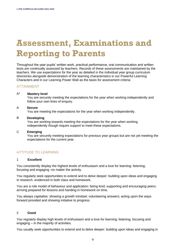## **Assessment, Examinations and Reporting to Parents**

Throughout the year pupils' written work, practical performance, oral communication and written tests are continually assessed by teachers. Records of these assessments are maintained by the teachers. We use expectations for the year as detailed in the individual year group curriculum directories alongside demonstration of the learning characteristics in our Powerful Learning Characters and in our Learning Power Wall as the basis for assessment criteria:

#### ATTAINMENT

#### A\* **Mastery level**

You are securely meeting the expectations for the year when working independently and follow your own lines of enquiry.

#### A **Secure**

You are meeting the expectations for the year when working independently.

#### B **Developing**

You are working towards meeting the expectations for the year when working independently though require support to meet these expectations.

#### C **Emerging**

You are securely meeting expectations for previous year groups but are not yet meeting the expectations for the current year.

#### ATTITUDE TO LEARNING

#### 1 **Excellent**

You consistently display the highest levels of enthusiasm and a love for learning: listening, focusing and engaging -no matter the activity.

You regularly seek opportunities to extend and to delve deeper: building upon ideas and engaging in research -evidenced in both class and homework.

You are a role model of behaviour and application: being kind; supporting and encouraging peers; arriving prepared for lessons and handing in homework on time.

You always capitalise: showing a growth mindset; volunteering answers; acting upon the ways forward provided and showing initiative to progress.

#### 2 **Good**

You regularly display high levels of enthusiasm and a love for learning: listening, focusing and engaging – in the majority of activities.

You usually seek opportunities to extend and to delve deeper: building upon ideas and engaging in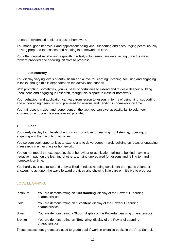research -evidenced in either class or homework.

You model good behaviour and application: being kind; supporting and encouraging peers; usually arriving prepared for lessons and handing in homework on time.

You often capitalise: showing a growth mindset; volunteering answers; acting upon the ways forward provided and showing initiative to progress.

#### 3 **Satisfactory**

You display varying levels of enthusiasm and a love for learning: listening, focusing and engaging in tasks –though this is dependent on the activity and support.

With prompting, sometimes, you will seek opportunities to extend and to delve deeper: building upon ideas and engaging in research, though this is spare in class or homework.

Your behaviour and application can vary from lesson to lesson: in terms of being kind, supporting and encouraging peers; arriving prepared for lessons and handing in homework on time.

Your mindset is mixed, and, dependent on the task you can give up easily, fail to volunteer answers or act upon the ways forward provided.

#### 4 **Poor**

You rarely display high levels of enthusiasm or a love for learning: not listening, focusing, or engaging – in the majority of activities.

You seldom seek opportunities to extend and to delve deeper: rarely building on ideas or engaging in research in either class or homework.

You do not model the expected levels of behaviour or application: failing to be kind; having a negative impact on the learning of others; arriving unprepared for lessons and failing to hand in homework on time.

You hardly ever capitalise and show a fixed mindset: needing consistent prompts to volunteer answers, to act upon the ways forward provided and showing little care or initiative to progress.

#### LOVE LEARNING:

| Platinum      | You are demonstrating an 'Outstanding' display of the Powerful Learning<br>characteristics        |
|---------------|---------------------------------------------------------------------------------------------------|
| Gold          | You are demonstrating an 'Excellent' display of the Powerful Learning<br>characteristics          |
| Silver        | You are demonstrating a 'Good' display of the Powerful Learning characteristics                   |
| <b>Bronze</b> | You are demonstrating an ' <b>Emerging</b> ' display of the Powerful Learning<br>characteristics. |

These assessment grades are used to grade pupils' work in exercise books in the Prep School.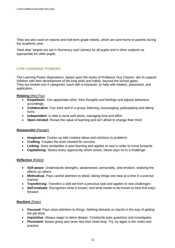They are also used on reports and mid-term grade sheets, which are sent home to parents during the academic year.

'Next step' targets are set in Numeracy and Literacy for all pupils and in other subjects as appropriate for older pupils.

#### **LPW LEARNING POWERS**

The Learning Power dispositions, based upon the works of Professor Guy Claxton, aim to support children with their development of life-long skills and habits, beyond the school gates. They are broken into 4 categories, each with a character, to help with relation, placement, and application.

**Relating** (Red Fox)

- **Empathetic** Can appreciate other, their thoughts and feelings and adjusts behaviour accordingly
- **Collaborative** Can work well in a group, listening, encouraging, participating and taking turns
- **Independent** Is able to work well alone, managing time and effort
- **Open minded** Knows the value of learning and isn't afraid to change their mind

#### **Resourceful** (Ranger)

- **Imaginative** Comes up with creative ideas and solutions to problems
- **Crafting** Creates the tools needed for success
- **Linking** Sees similarities in past learning and applies to new in order to move forwards
- **Capitalising** Seizes every opportunity which arises. Never says no to a challenge

#### **Reflective** (Robot)

- **Self-aware** Understands strengths, weaknesses, personality, and emotion, realising the effects on others
- **Methodical** Pays careful attention to detail, taking things one step at a time in a precise manner
- **Transferring** Transfers a skill set from a previous task and applies to new challenges
- **Self-evaluate** Recognises what is known, and what needs to be known to best find ways forward

#### **Resilient** (Ruler)

- **Focused** Pays close attention to things. Nothing distracts or stands in the way of getting the job done
- **Inquisitive** -Always eager to delve deeper. Constantly asks questions and investigates
- **Persistent** Keeps going and never lets their head drop. Try, try again is the motto and practice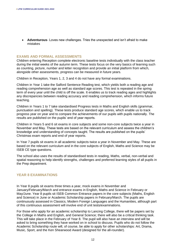• **Adventurous**- Loves new challenges. Tries the unexpected and isn't afraid to make mistakes

#### **EXAMS AND FORMAL ASSESSMENTS**

Children entering Reception complete electronic baseline tests individually with the class teacher during the initial weeks of the autumn term. These tests focus on the very basics of learning such as counting, picture, number and letter recognition and provide an initial platform from which, alongside other assessments, progress can be measured in future years.

Children in Reception, Years 1, 2, 3 and 4 do not have any formal examinations.

Children in Year 1 take the Salford Sentence Reading test, which yields both a reading age and reading comprehension age as well as standard age scores. This test is repeated in the spring term of every year until the child is off the scale. It enables us to track reading ages and highlights any discrepancies between reading accuracy and reading comprehension, which informs future teaching.

Children in Years 1 to 7 take standardised Progress tests in Maths and English skills (grammar, punctuation and spelling). These tests produce standard age scores, which enable us to track progress year on year and to compare the achievements of our pupils with pupils nationally. The results are published on the pupils' end of year reports.

Children in Years 5 and 6 sit exams in core subjects and some non-core subjects twice a year in November and May. These tests are based on the relevant curriculum and assess the children's knowledge and understanding of concepts taught. The results are published on the pupils' Christmas exam reports and end of year reports.

In Year 7 pupils sit exams in all academic subjects twice a year in November and May. These are based on the relevant curriculum and in the core subjects of English, Maths and Science may be ISEB CE type questions.

The school also uses the results of standardised tests in reading, Maths, verbal, non-verbal and spatial reasoning to help identify strengths, challenges and preferred learning styles of all pupils in the Prep department.

#### **YEAR 8 EXAMINATIONS**

In Year 8 pupils sit exams three times a year, mock exams in November and January/February/March and entrance exams in English, Maths and Science in February or May/June. Year 8 pupils sit ISEB Common Entrance papers in the core subjects (Maths, English and Science) in June or Academic Scholarship papers in February/March. The pupils are continuously assessed in Classics, Modern Foreign Languages and the Humanities, although part of this continuous assessment will involve end of unit tests/examinations.

For those who apply for an academic scholarship to Lancing College, there will be papers set by the College in Maths and English, and General Science; there will also be a critical thinking task. This will take place in the February of Year 8. The pupil will also have an interview and will be asked to bring something they have worked on in school to discuss. Pupils who do not follow the Academic Scholarship route will, of course, be able to apply for other scholarships: Art, Drama, Music, Sport, and the Ken Shearwood Award (designed for the all-rounder).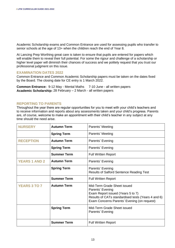Academic Scholarship exams and Common Entrance are used for assessing pupils who transfer to senior schools at the age of 13+ when the children reach the end of Year 8.

At Lancing Prep Worthing great care is taken to ensure that pupils are entered for papers which will enable them to reveal their full potential. For some the rigour and challenge of a scholarship or higher level paper will diminish their chances of success and we politely request that you trust our professional judgment on this issue.

#### **EXAMINATION DATES 2022**

Common Entrance and Common Academic Scholarship papers must be taken on the dates fixed by the Board. The closing date for CE entry is 1 March 2022.

**Common Entrance:** 9-12 May - Mental Maths 7-10 June - all written papers **Academic Scholarship:** 28 February – 2 March - all written papers

#### **REPORTING TO PARENTS**

Throughout the year there are regular opportunities for you to meet with your child's teachers and to receive information and reports about any assessments taken and your child's progress. Parents are, of course, welcome to make an appointment with their child's teacher in any subject at any time should the need arise.

| <b>NURSERY</b>       | <b>Autumn Term</b> | Parents' Meeting                                                                                                                                                                          |  |
|----------------------|--------------------|-------------------------------------------------------------------------------------------------------------------------------------------------------------------------------------------|--|
|                      | <b>Spring Term</b> | Parents' Meeting                                                                                                                                                                          |  |
| <b>RECEPTION</b>     | <b>Autumn Term</b> | Parents' Evening                                                                                                                                                                          |  |
|                      | <b>Spring Term</b> | Parents' Evening                                                                                                                                                                          |  |
|                      | <b>Summer Term</b> | <b>Full Written Report</b>                                                                                                                                                                |  |
| <b>YEARS 1 AND 2</b> | <b>Autumn Term</b> | Parents' Evening                                                                                                                                                                          |  |
|                      | <b>Spring Term</b> | Parents' Evening<br><b>Results of Salford Sentence Reading Test</b>                                                                                                                       |  |
|                      | <b>Summer Term</b> | <b>Full Written Report</b>                                                                                                                                                                |  |
| <b>YEARS 3 TO 7</b>  | <b>Autumn Term</b> | Mid-Term Grade Sheet issued<br>Parents' Evening<br>Exam Report issued (Years 5 to 7)<br>Results of CATs standardised tests (Years 4 and 6)<br>Exam Concerns Parents' Evening (on request) |  |
|                      | <b>Spring Term</b> | Mid-Term Grade Sheet issued<br>Parents' Evening                                                                                                                                           |  |
|                      | <b>Summer Term</b> | <b>Full Written Report</b>                                                                                                                                                                |  |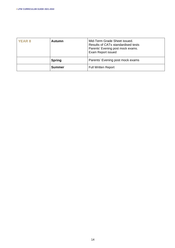| <b>YEAR 8</b> | Autumn        | Mid-Term Grade Sheet issued.<br>Results of CATs standardised tests<br>Parents' Evening post mock exams.<br>Exam Report issued |
|---------------|---------------|-------------------------------------------------------------------------------------------------------------------------------|
|               | <b>Spring</b> | Parents' Evening post mock exams                                                                                              |
|               | <b>Summer</b> | <b>Full Written Report</b>                                                                                                    |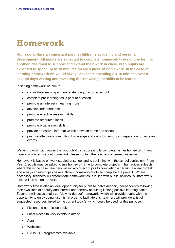### **Homework**

**Homework plays an important part in children's academic and personal development. All pupils are expected to complete homework tasks of one form or another, designed to support and extend their work in class. Prep pupils are expected to spend up to 30 minutes on each piece of homework. In the case of learning homework we would always advocate spending 3 x 10 minutes over a several days visiting and revisiting the knowledge or skills to be learnt.** 

In setting homework we aim to

- consolidate learning and understanding of work at school
- complete pre-learning tasks prior to a lesson
- promote an interest in learning more
- develop independence
- promote effective research skills
- promote resourcefulness
- promote organisation skills
- provide a positive, informative link between home and school
- practise effectively committing knowledge and skills to memory in preparation for tests and exams

We aim to work with you so that your child can successfully complete his/her homework. If you have any concerns about homework please contact the teacher concerned via e-mail.

Homework is based on work studied at school and is set in line with the school curriculum. From Year 5, pupils may be asked to use homework time to complete projects in humanities subjects; where this is the case, teachers will initially direct pupils to completing a certain task each week and always ensure pupils have sufficient homework 'slots' to complete the project. Where necessary, teachers will differentiate homework tasks in line with pupils' abilities. All homework tasks will be set on the VLE.

Homework time is also an ideal opportunity for pupils to 'delve deeper', independently following their own lines of enquiry and interest and thereby acquiring lifelong positive learning habits. Teachers will occasionally set 'delving deeper' homework, which will provide pupils with the opportunity to enjoy doing just this. In order to facilitate this, teachers will provide a list of suggested resources linked to the current topic(s) which could be used for this purpose:

- Fiction and non-fiction books
- Local places to visit/ events to attend
- Apps
- Websites
- DVDs / TV programmes available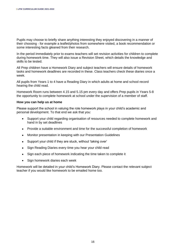Pupils may choose to briefly share anything interesting they enjoyed discovering in a manner of their choosing - for example a leaflet/photos from somewhere visited, a book recommendation or some interesting facts gleaned from their research.

In the period immediately prior to exams teachers will set revision activities for children to complete during homework time. They will also issue a Revision Sheet, which details the knowledge and skills to be tested.

All Prep children have a Homework Diary and subject teachers will ensure details of homework tasks and homework deadlines are recorded in these. Class teachers check these diaries once a week.

All pupils from Years 1 to 4 have a Reading Diary in which adults at home and school record hearing the child read.

Homework Room runs between 4.15 and 5.15 pm every day and offers Prep pupils in Years 5-8 the opportunity to complete homework at school under the supervision of a member of staff.

#### **How you can help us at home**

Please support the school in valuing the role homework plays in your child's academic and personal development. To that end we ask that you:

- Support your child regarding organisation of resources needed to complete homework and hand in by set deadlines
- Provide a suitable environment and time for the successful completion of homework
- Monitor presentation in keeping with our Presentation Guidelines
- Support your child if they are stuck, without 'taking over'
- Sign Reading Diaries every time you hear your child read
- Sign each piece of homework indicating the time taken to complete it
- Sign homework diaries each week

Homework will be detailed in your child's Homework Diary. Please contact the relevant subject teacher if you would like homework to be emailed home too.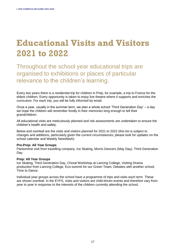## **Educational Visits and Visitors 2021 to 2022**

Throughout the school year educational trips are organised to exhibitions or places of particular relevance to the children's learning.

Every two years there is a residential trip for children in Prep, for example, a trip to France for the eldest children. Every opportunity is taken to enjoy live theatre where it supports and enriches the curriculum. For each trip, you will be fully informed by email.

Once a year, usually in the summer term, we plan a whole school 'Third Generation Day' – a day we hope the children will remember fondly in their memories long enough to tell their grandchildren.

All educational visits are meticulously planned and risk assessments are undertaken to ensure the children's health and safety.

Below and overleaf are the visits and visitors planned for 2021 to 2022 (this list is subject to changes and additions, particularly given the current circumstances; please look for updates on the school calendar and Weekly Newsflash):

#### **Pre-Prep: All Year Groups**

Pantomime visit from travelling company, Ice Skating, Morris Dancers (May Day), Third Generation Day

#### **Prep: All Year Groups**

Ice Skating, Third Generation Day, Choral Workshop at Lancing College, Visiting Drama production from Lancing College, Eco-summit for our Green Team, Debates with another school, Time to Dance

Individual year groups across the school have a programme of trips and visits each term. These are shown overleaf. In the EYFS, visits and visitors are child-driven events and therefore vary from year to year in response to the interests of the children currently attending the school.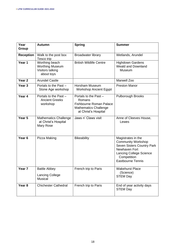| Year              | <b>Autumn</b>                                                              | <b>Spring</b>                                                                                                             | <b>Summer</b>                                                                                                                                                                      |
|-------------------|----------------------------------------------------------------------------|---------------------------------------------------------------------------------------------------------------------------|------------------------------------------------------------------------------------------------------------------------------------------------------------------------------------|
| <b>Group</b>      |                                                                            |                                                                                                                           |                                                                                                                                                                                    |
| <b>Reception</b>  | Walk to the post box<br>Tesco trip                                         | <b>Broadwater library</b>                                                                                                 | Wetlands, Arundel                                                                                                                                                                  |
| Year 1            | Worthing beach<br><b>Worthing Museum</b><br>Visitors talking<br>about toys | <b>British Wildlife Centre</b>                                                                                            | <b>Highdown Gardens</b><br>Weald and Downland<br>Museum                                                                                                                            |
| Year <sub>2</sub> | <b>Arundel Castle</b>                                                      |                                                                                                                           | Marwell Zoo                                                                                                                                                                        |
| Year <sub>3</sub> | Portals to the Past -<br>Stone Age workshop                                | Horsham Museum<br><b>Workshop Ancient Egypt</b>                                                                           | <b>Preston Manor</b>                                                                                                                                                               |
| Year 4            | Portals to the Past -<br><b>Ancient Greeks</b><br>workshop                 | Portals to the Past -<br>Romans<br><b>Fishbourne Roman Palace</b><br><b>Mathematics Challenge</b><br>at Christ's Hospital | Pulborough Brooks                                                                                                                                                                  |
| Year <sub>5</sub> | <b>Mathematics Challenge</b><br>at Christ's Hospital<br>Mary Rose          | Jaws n' Claws visit                                                                                                       | Anne of Cleeves House,<br>Lewes                                                                                                                                                    |
| Year <sub>6</sub> | Pizza Making                                                               | <b>Bikeability</b>                                                                                                        | Magistrates in the<br><b>Community Workshop</b><br><b>Seven Sisters Country Park</b><br>Newhaven Fort<br><b>Lancing College Science</b><br>Competition<br><b>Eastbourne Tennis</b> |
| Year <sub>7</sub> | <b>Battle Abbey</b><br>Lancing College<br><b>Musical</b>                   | French trip to Paris                                                                                                      | <b>Wakehurst Place</b><br>(Science)<br><b>STEM Day</b>                                                                                                                             |
| Year <sub>8</sub> | <b>Chichester Cathedral</b>                                                | French trip to Paris                                                                                                      | End of year activity days<br><b>STEM Day</b>                                                                                                                                       |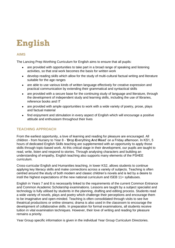## **English**

#### **AIMS**

The Lancing Prep Worthing Curriculum for English aims to ensure that all pupils:

- are provided with opportunities to take part in a broad range of speaking and listening activities, so that oral work becomes the basis for written work
- develop reading skills which allow for the study of multi-cultural factual writing and literature suitable for the age ranges
- are able to use various kinds of written language effectively for creative expression and practical communication by extending their grammatical and syntactical skills
- are provided with a secure base for the continuing study of language and literature, through the development of independent study and learning skills, including the use of libraries, reference books and IT
- are provided with ample opportunities to work with a wide variety of poetry, prose, plays and factual material
- find enjoyment and stimulation in every aspect of English which will encourage a positive attitude and enthusiasm throughout their lives

#### **TEACHING APPROACH**

From the earliest opportunity, a love of learning and reading for pleasure are encouraged. All children - from Nursery to Year 8 - '**D**rop **E**verything **A**nd **R**ead' on a Friday afternoon. In KS1, 5 hours of dedicated English Skills teaching are supplemented with an opportunity to apply those skills through topic-based work. At this critical stage in their development, our pupils are taught to read, write, listen and respond to stories. Through analysing characters and building an understanding of empathy, English teaching also supports many elements of the PSHEE curriculum.

Cross-curricular English and Humanities teaching, in lower KS2, allows students to continue applying key literacy skills and make connections across a variety of subjects. Teaching is often centred around the study of both modern and classic children's novels and is led by a desire to instil the highest expectations of the new national curriculum and ISEB 11+ syllabuses.

English in Years 7 and 8 is necessarily linked to the requirements of the current Common Entrance and Common Academic Scholarship examinations. Lessons are taught by a subject specialist and technology is fully utilised by students in the planning, drafting and editing process. Students read a wide variety of novels, plays and poetry which challenge their perceptions and encourage them to be imaginative and open-minded. Teaching is often consolidated through visits to see live theatrical productions or online streams; drama is also used in the classroom to encourage the development of collaborative skills. In preparation for formal examinations, all students receive tuition in vital examination techniques. However, their love of writing and reading for pleasure remains a priority.

Year Group specific information is given in the individual Year Group Curriculum Directories.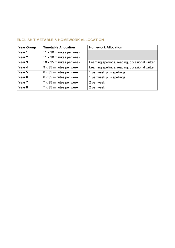#### **ENGLISH TIMETABLE & HOMEWORK ALLOCATION**

| <b>Year Group</b> | <b>Timetable Allocation</b> | <b>Homework Allocation</b>                      |
|-------------------|-----------------------------|-------------------------------------------------|
| Year 1            | 11 x 30 minutes per week    |                                                 |
| Year 2            | 11 x 30 minutes per week    |                                                 |
| Year <sub>3</sub> | 10 x 35 minutes per week    | Learning spellings, reading, occasional written |
| Year 4            | 9 x 35 minutes per week     | Learning spellings, reading, occasional written |
| Year <sub>5</sub> | 8 x 35 minutes per week     | 1 per week plus spellings                       |
| Year <sub>6</sub> | 8 x 35 minutes per week     | 1 per week plus spellings                       |
| Year <sub>7</sub> | 7 x 35 minutes per week     | 2 per week                                      |
| Year <sub>8</sub> | 7 x 35 minutes per week     | 2 per week                                      |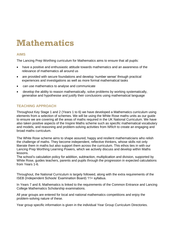## **Mathematics**

#### **AIMS**

The Lancing Prep Worthing curriculum for Mathematics aims to ensure that all pupils:

- have a positive and enthusiastic attitude towards mathematics and an awareness of the relevance of mathematics all around us
- are provided with secure foundations and develop 'number sense' through practical experiences and investigations as well as more formal mathematical tasks
- can use mathematics to analyse and communicate
- develop the ability to reason mathematically, solve problems by working systematically, generalise and hypothesise and justify their conclusions using mathematical language

#### **TEACHING APPROACH**

Throughout Key Stage 1 and 2 (Years 1 to 6) we have developed a Mathematics curriculum using elements from a selection of schemes. We will be using the White Rose maths units as our guide to ensure we are covering all the areas of maths required in the UK National Curriculum. We have also taken positive aspects of the Inspire Maths scheme such as specific mathematical vocabulary and models, and reasoning and problem-solving activities from *NRich* to create an engaging and broad maths curriculum.

The White Rose scheme aims to shape assured, happy and resilient mathematicians who relish the challenge of maths. They become independent, reflective thinkers, whose skills not only liberate them in maths but also support them across the curriculum. This ethos ties in with our Lancing Prep Worthing Learning Powers, which we actively discuss and develop within Maths lessons.

The school's calculation policy for addition, subtraction, multiplication and division, supported by White Rose, guides teachers, parents and pupils through the progression in expected calculations from Years 1-6.

Throughout, the National Curriculum is largely followed, along with the extra requirements of the ISEB (Independent Schools' Examination Board) 11+ syllabus.

In Years 7 and 8, Mathematics is linked to the requirements of the Common Entrance and Lancing College Mathematics Scholarship examinations.

All year groups are entered for local and national mathematics competitions and enjoy the problem-solving nature of these.

Year group specific information is given in the individual Year Group Curriculum Directories.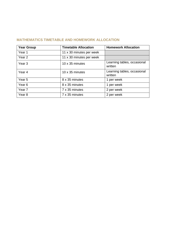#### **MATHEMATICS TIMETABLE AND HOMEWORK ALLOCATION**

| <b>Year Group</b> | <b>Timetable Allocation</b> | <b>Homework Allocation</b>             |
|-------------------|-----------------------------|----------------------------------------|
| Year 1            | 11 x 30 minutes per week    |                                        |
| Year 2            | 11 x 30 minutes per week    |                                        |
| Year 3            | 10 x 35 minutes             | Learning tables, occasional<br>written |
| Year 4            | $10 \times 35$ minutes      | Learning tables, occasional<br>written |
| Year 5            | 8 x 35 minutes              | 1 per week                             |
| Year <sub>6</sub> | 8 x 35 minutes              | 1 per week                             |
| Year 7            | 7 x 35 minutes              | 2 per week                             |
| Year <sub>8</sub> | 7 x 35 minutes              | 2 per week                             |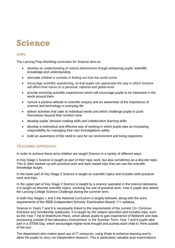### **Science**

#### **AIMS**

The Lancing Prep Worthing curriculum for Science aims to:

- develop an understanding of natural phenomena though enhancing pupils' scientific knowledge and understanding
- stimulate children's curiosity in finding out how the world works
- encourage scientific questioning, so that pupils can appreciate the way in which Science will affect their future on a personal, national and global level
- provide enriching scientific experiences which will encourage pupils to be interested in the world around them
- nurture a positive attitude to scientific enquiry and an awareness of the importance of science and technology in everyday life
- deliver activities that cater to individual needs and which challenge pupils to push themselves beyond their comfort zone
- develop pupils' decision-making skills and collaborative learning skills
- develop a methodical and effective way of working in which pupils take an increasing responsibility for managing their own investigations safely
- build an awareness of the need to care for our environment and living organisms

#### **TEACHING APPROACH**

In order to achieve these aims children are taught Science in a variety of different ways:

In Key Stage 1 Science is taught as part of their topic work, but also sometimes as a discrete topic. This is often backed up with practical work and topic-based trips that can use the scientific knowledge taught.

In the lower part of Key Stage 2 Science is taught as scientific topics and includes both practical work and trips.

In the upper part of Key Stage 2 Science is taught by a science specialist in the science laboratory. It is taught as discrete scientific topics, involving the use of practical work. Year 6 pupils also attend the Lancing College Science Challenge during the summer term.

In both Key Stages 1 and 2 the National Curriculum is largely followed, along with the extra requirements of the ISEB (Independent Schools' Examination Board) 11+ syllabus.

Science in Years 7 and 8 is necessarily linked to the requirements of the current 13+ Common Entrance and Scholarship syllabuses. It is taught by the subject specialist and includes trips, such as the Year 7 trip to Wakehurst Place, which allows pupils to gain experience of fieldwork and data processing outside of the laboratory environment. In the Summer Term, Year 7 and 8 pupils take part in a STEM Day, which encourages higher level thought and pushes each child to 'think outside of the box'.

The department also makes good use of IT resources, using iPads to enhance learning and to allow the pupils to carry out independent research. This is particularly valuable post-examinations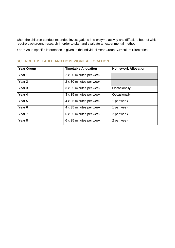when the children conduct extended investigations into enzyme activity and diffusion, both of which require background research in order to plan and evaluate an experimental method.

Year Group specific information is given in the individual Year Group Curriculum Directories.

#### **SCIENCE TIMETABLE AND HOMEWORK ALLOCATION**

| <b>Year Group</b> | <b>Timetable Allocation</b> | <b>Homework Allocation</b> |
|-------------------|-----------------------------|----------------------------|
| Year 1            | 2 x 30 minutes per week     |                            |
| Year 2            | 2 x 30 minutes per week     |                            |
| Year <sub>3</sub> | 3 x 35 minutes per week     | Occasionally               |
| Year 4            | 3 x 35 minutes per week     | Occasionally               |
| Year <sub>5</sub> | 4 x 35 minutes per week     | 1 per week                 |
| Year <sub>6</sub> | 4 x 35 minutes per week     | 1 per week                 |
| Year <sub>7</sub> | 6 x 35 minutes per week     | 2 per week                 |
| Year <sub>8</sub> | 6 x 35 minutes per week     | 2 per week                 |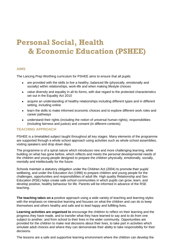### **Personal Social, Health & Economic Education (PSHEE)**

#### **AIMS**

The Lancing Prep Worthing curriculum for PSHEE aims to ensure that all pupils:

- are provided with the skills to live a healthy, balanced life (physically, emotionally and socially) within relationships, work-life and when making lifestyle choices
- value diversity and equality in all its forms, with due regard to the protected characteristics set out in the Equality Act 2010
- acquire an understanding of healthy relationships including different types and in different setting, including online
- learn the skills to make informed economic choices and to explore different work roles and career pathways
- understand their rights (including the notion of universal human rights), responsibilities (including fairness and justice) and consent (in different contexts)

#### **TEACHING APPROACH**

PSHEE is a timetabled subject taught throughout all key stages. Many elements of the programme are supported through a whole school approach using activities such as whole school assemblies, visiting speakers and drop down days.

The programme is of a spiral nature which introduces new and more challenging learning, while building on what has gone before, which reflects and meets the personal developmental needs of the children and young people designed to prepare the children physically, emotionally, socially, mentally and intellectually for the future.

Schools maintain a statutory obligation under the Children Act (2004) to promote their pupils' wellbeing, and under the Education Act (1996) to prepare children and young people for the challenges, opportunities and responsibilities of adult life. High quality Relationship and Sex Education (RSE) helps create safe school communities in which pupils can grow, learn, and develop positive, healthy behaviour for life. Parents will be informed in advance of the RSE teaching.

**The teaching takes on a** positive approach using a wide variety of teaching and learning styles with the emphasis on interactive learning and focuses on what the children and can do to keep themselves and others healthy and safe and to lead happy and fulfilling lives.

**Learning activities are organised to** encourage the children to reflect on their learning and the progress they have made, and to transfer what they have learned to say and to do from one subject to another, and from school to their lives in the wider community. Opportunities are provided for the children to make real decisions about their lives, to take part in activities which simulate adult choices and where they can demonstrate their ability to take responsibility for their decisions.

The lessons are a safe and supportive learning environment where the children can develop the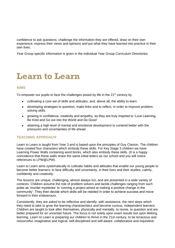confidence to ask questions, challenge the information they are offered, draw on their own experience, express their views and opinions and put what they have learned into practice in their own lives.

Year Group specific information is given in the individual Year Group Curriculum Directories.

### **Learn to Learn**

#### **AIMS**

To empower our pupils to face the challenges posed by life in the  $21<sup>st</sup>$  century by

- cultivating a core set of skills and attitudes, and, above all, the ability to learn
- developing strategies to question, make links and to reflect, in order to improve problemsolving skills
- growing in confidence, creativity and empathy, so they are truly inspired to 'Love Learning, Be Kind and Go out into the World and Do Good'
- attaining a high level of mental and emotional development to contend better with the pressures and uncertainties of life ahead

#### **TEACHING APPROACH**

Learn to Learn is taught from Year 3 and is based upon the principles of Guy Claxton. The children have created four characters which embody these skills. For Key Stage 3 children we have Learning Power Walls containing word bricks, which also embody these skills. (It is a happy coincidence that these walls share the same initial letters as our school and you will notice references to LPW@LPW).

Learn to Learn aims systematically to cultivate habits and attitudes that enable our young people to become better learners; to face difficulty and uncertainty, in their lives and their studies, calmly, confidently and creatively.

The lessons are unique, challenging, almost always fun, and are presented in a wide variety of contexts. Children assume the role of problem solvers and tackle challenges ranging from such poles as 'murder mysteries' to 'running a project aimed at making a positive change in the community'. They then decide which skills will be needed in order to achieve success and move forward in their endeavours.

Consistently, they are asked to be reflective and identify, with assistance, the next steps which they need to take to grow the learning characteristics and become curious, independent learners. Children are taught to look after themselves, physically and mentally, to revise, to question and are better prepared for an uncertain future. The focus is not solely upon exam results but upon lifelong learning. Learn to Learn is preparing our children to thrive in the 21st century, to be tenacious and resourceful, imaginative and logical, self-disciplined and self-aware, collaborative and inquisitive.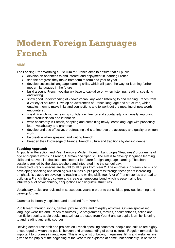## **Modern Foreign Languages French**

#### **AIMS**

The Lancing Prep Worthing curriculum for French aims to ensure that all pupils:

- develop an openness to and interest and enjoyment in learning French
- see the progress they make from term to term and year to year
- develop successful language learning skills, which will pave the way for learning further modern languages in the future
- build a sound French vocabulary base to capitalise on when listening, reading, speaking and writing
- show good understanding of known vocabulary when listening to and reading French from a variety of sources. Develop an awareness of French language and structures, which enables them to make links and connections and to work out the meaning of new words encountered
- speak French with increasing confidence, fluency and spontaneity, continually improving their pronunciation and intonation
- write accurately in French, adapting and combining newly-learnt language with previouslylearnt vocabulary and grammar
- develop and use effective, proofreading skills to improve the accuracy and quality of written work
- be creative when speaking and writing French
- broaden their knowledge of France, French culture and traditions by delving deeper

#### **Teaching Approach**

All pupils in Reception and Year 1 enjoy a Modern Foreign Languages 'Readiness' programme of age appropriate words in French, German and Spanish. The aim is to develop language learning skills and above all enthusiasm and interest for future foreign language learning. The short sessions are led by the class teachers and integrated into the school day.

Timetabled French lessons are taught to all pupils from Year 2. The emphasis in Years 2 to 4 is on developing speaking and listening skills but as pupils progress through these years increasing emphasis is placed on developing reading and writing skills too. A lot of French stories are read to build up a French literary culture and create an emotional bond which is essential to learn intuitively a lot of vocabulary, conjugations and linguistic structures.

Vocabulary topics are revisited in subsequent years in order to consolidate previous learning and develop further.

Grammar is formally explained and practised from Year 5.

Pupils learn through songs, games, picture books and role-play activities. On-line specialised language websites and French resources (TV programmes, movies, documentaries, fiction and non-fiction books, audio books, magazines) are used from Year 5 and so pupils learn by listening to and reading authentic sources.

Delving deeper research and projects on French speaking countries, people and culture are highly encouraged to widen the pupils' horizon and understanding of other cultures. Regular immersion is important to progress in languages. This is why a list of books, magazines, films and websites are given to the pupils at the beginning of the year to be explored at home, independently, in between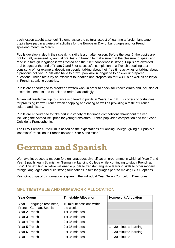each lesson taught at school. To emphasise the cultural aspect of learning a foreign language, pupils take part in a variety of activities for the European Day of Languages and for French speaking month, in March.

Pupils develop in depth their speaking skills lesson after lesson. Before the year 7, the pupils are not formally assessed by annual oral tests in French to make sure that the pleasure to speak and read in a foreign language is well rooted and their self-confidence is strong. Pupils are awarded oral badges at the end of Years 7 and 8 for successful completion of a French speaking test consisting of, for example, describing people, talking about their free time activities or talking about a previous holiday. Pupils also have to draw upon known language to answer unprepared questions. These tests lay an excellent foundation and preparation for GCSE's as well as holidays in French speaking countries.

Pupils are encouraged to proofread written work in order to check for known errors and inclusion of desirable elements and to edit and redraft accordingly.

A biennial residential trip to France is offered to pupils in Years 7 and 8. This offers opportunities for practising known French when shopping and eating as well as providing a taste of French culture and history.

Pupils are encouraged to take part in a variety of language competitions throughout the year, including the Anthea Bell prize for young translators, French pop video competition and the Grand Quiz de la Francophonie.

The LPW French curriculum is based on the expectations of Lancing College, giving our pupils a 'seamless' transition in French between Year 8 and Year 9.

### **German and Spanish**

We have introduced a modern foreign languages diversification programme in which all Year 7 and Year 8 pupils learn Spanish or German at Lancing College whilst continuing to study French at LPW. This exciting initiative will enable pupils to transfer language learning skills to other modern foreign languages and build strong foundations in two languages prior to making GCSE options.

Year Group specific information is given in the individual Year Group Curriculum Directories.

| <b>Year Group</b>          | <b>Timetable Allocation</b> | <b>Homework Allocation</b> |
|----------------------------|-----------------------------|----------------------------|
| Year 1 Language readiness, | 10 minute sessions within   |                            |
| French, German, Spanish    | the week                    |                            |
| Year 2 French              | 1 x 35 minutes              |                            |
| Year 3 French              | 1 x 35 minutes              |                            |
| Year 4 French              | 2 x 35 minutes              | -                          |
| Year 5 French              | 2 x 35 minutes              | 1 x 30 minutes learning    |
| Year 6 French              | 2 x 35 minutes              | 1 x 30 minutes learning    |
| Year 7 French              | 2 x 35 minutes              | 1 x 30 minutes             |

#### **MFL TIMETABLE AND HOMEWORK ALLOCATION**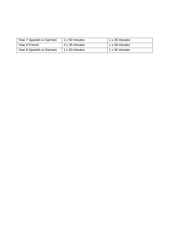| Year 7 Spanish or German | 1 x 50 minutes | l 1 x 30 minutes |
|--------------------------|----------------|------------------|
| Year 8 French            | 3 x 35 minutes | 1 x 30 minutes   |
| Year 8 Spanish or German | 1 x 50 minutes | 1 x 30 minutes   |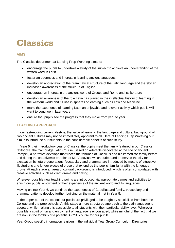## **Classics**

#### **AIMS**

The Classics department at Lancing Prep Worthing aims to:

- encourage the pupils to undertake a study of the subject to achieve an understanding of the written word in Latin
- foster an openness and interest in learning ancient languages
- develop an appreciation of the grammatical structure of the Latin language and thereby an increased awareness of the structure of English
- encourage an interest in the ancient world of Greece and Rome and its literature
- develop an awareness of the role Latin has played in the intellectual history of learning in the western world and its use in spheres of learning such as Law and Medicine
- make the experience of learning Latin an enjoyable and relevant activity which pupils will want to continue in later years
- ensure that pupils see the progress that they make from year to year

#### **TEACHING APPROACH**

In our fast-moving current lifestyle, the value of learning the language and cultural background of two ancient cultures may not be immediately apparent to all. Here at Lancing Prep Worthing our aim is to introduce our students to the considerable benefits of such study.

In Year 5, their introductory year of Classics, the pupils meet the family featured in our Classics textbooks, the Cambridge Latin Course. Based on artefacts discovered at the site of ancient Pompeii, a narrative develops that traces the fortunes of Caecilius and his immediate family before and during the cataclysmic eruption of Mt. Vesuvius, which buried and preserved the city for excavation by future generations. Vocabulary and grammar are introduced by means of attractive illustrations and longer pieces of prose that extend as the pupils' familiarity with the language grows. At each stage an area of cultural background is introduced, which is often consolidated with creative activities such as craft, drama and baking.

Wherever possible new teaching points are introduced via appropriate games and activities to enrich our pupils' enjoyment of their experience of the ancient world and its languages.

Moving on into Year 6, we continue the experiences of Caecilius and family, vocabulary and grammar patterns develop further, building on the material met in Year 5.

In the upper part of the school our pupils are privileged to be taught by specialists from both the College and the prep schools. At this stage a more structured approach to the Latin language is adopted, while making this accessible to all students with their particular ability level. Wherever possible a spirit of fun and enjoyment of language is encouraged, while mindful of the fact that we are now in the foothills of a potential GCSE course for our pupils.

Year Group specific information is given in the individual Year Group Curriculum Directories.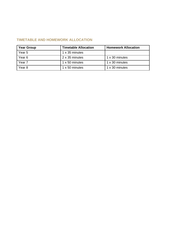#### **TIMETABLE AND HOMEWORK ALLOCATION**

| <b>Year Group</b> | <b>Timetable Allocation</b> | <b>Homework Allocation</b> |
|-------------------|-----------------------------|----------------------------|
| Year 5            | 1 x 35 minutes              |                            |
| Year 6            | 2 x 35 minutes              | 1 x 30 minutes             |
| Year 7            | 1 x 50 minutes              | 1 x 30 minutes             |
| Year 8            | 1 x 50 minutes              | 1 x 30 minutes             |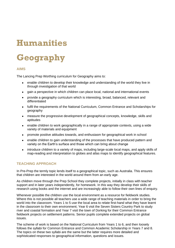## **Humanities**

# **Geography**

#### **AIMS**

The Lancing Prep Worthing curriculum for Geography aims to:

- enable children to develop their knowledge and understanding of the world they live in through investigation of that world
- gain a perspective in which children can place local, national and international events
- provide a geography curriculum which is interesting, broad, balanced, relevant and differentiated
- fulfil the requirements of the National Curriculum, Common Entrance and Scholarships for geography
- measure the progressive development of geographical concepts, knowledge, skills and aptitudes
- enable children to work geographically in a range of appropriate contexts, using a wide variety of materials and equipment
- promote positive attitudes towards, and enthusiasm for geographical work in school
- enable children to gain understanding of the processes that have produced pattern and variety on the Earth's surface and those which can bring about change
- introduce children to a variety of maps, including large-scale local maps, and apply skills of map-reading and interpretation to globes and atlas maps to identify geographical features.

#### **TEACHING APPROACH**

In Pre-Prep the termly topic lends itself to a geographical topic, such as Australia. This ensures that children are interested in the world around them from an early age.

As children move through the Prep School they complete projects, initially in class with teacher support and in later years independently, for homework. In this way they develop their skills of research using books and the internet and are increasingly able to follow their own lines of enquiry.

Whenever possible the children use the local environment as a resource for fieldwork studies. Where this is not possible all teachers use a wide range of teaching materials in order to bring the world into the classroom. Years 1 to 5 use the local area to relate first-hand what they have learnt in the classroom to their own environment; Year 6 visit the Seven Sisters Country Park to study river and coastal formation and Year 7 visit the town of Dorking for their Common Entrance fieldwork projects on settlement patterns. Senior pupils complete extended projects on global issues.

The scheme of work is based on the National Curriculum from Years 1 to 6, and then loosely follows the syllabi for Common Entrance and Common Academic Scholarship in Years 7 and 8. The topics on these two syllabi are the same but the latter requires more detailed and sophisticated responses to geographical information, questions and issues.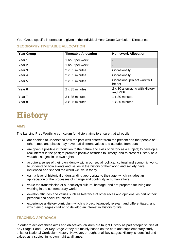Year Group specific information is given in the individual Year Group Curriculum Directories.

| <b>Year Group</b> | <b>Timetable Allocation</b> | <b>Homework Allocation</b>                 |
|-------------------|-----------------------------|--------------------------------------------|
| Year 1            | 1 hour per week             |                                            |
| Year <sub>2</sub> | 1 hour per week             |                                            |
| Year <sub>3</sub> | 2 x 35 minutes              | Occasionally                               |
| Year 4            | 2 x 35 minutes              | Occasionally                               |
| Year <sub>5</sub> | 2 x 35 minutes              | Occasional project work will<br>be set     |
| Year <sub>6</sub> | 2 x 35 minutes              | 2 x 30 alternating with History<br>and REP |
| Year 7            | 3 x 35 minutes              | 1 x 30 minutes                             |
| Year <sub>8</sub> | 3 x 35 minutes              | 1 x 30 minutes                             |

## **History**

#### **AIMS**

The Lancing Prep Worthing curriculum for History aims to ensure that all pupils:

- are enabled to understand how the past was different from the present and that people of other times and places may have had different values and attitudes from ours
- are given a positive introduction to the nature and skills of history as a subject; to develop a real interest in the past; to promote positive attitudes to History, and to present History as a valuable subject in its own rights
- acquire a sense of their own identity within our social, political, cultural and economic world; to understand how events and issues in the history of their world and society have influenced and shaped the world we live in today
- gain a level of historical understanding appropriate to their age, which includes an appreciation of the processes of change and continuity in human affairs
- value the transmission of our society's cultural heritage, and are prepared for living and working in the contemporary world
- develop attitudes and values such as tolerance of other races and opinions, as part of their personal and social education
- experience a History curriculum which is broad, balanced, relevant and differentiated; and which encourages children to develop an interest in 'history for life'

#### **TEACHING APPROACH**

In order to achieve these aims and objectives, children are taught History as part of topic studies at Key Stage 1 and 2. At Key Stage 2 they are mainly based on the core and supplementary study units for National Curriculum History. However, throughout all key stages, History is identified and valued as a subject in its own right at all times.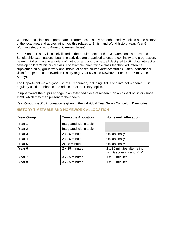Whenever possible and appropriate, programmes of study are enhanced by looking at the history of the local area and appreciating how this relates to British and World history. (e.g. Year 5 - Worthing study, visit to Anne of Cleeves House).

Year 7 and 8 History is loosely linked to the requirements of the 13+ Common Entrance and Scholarship examinations. Learning activities are organised to ensure continuity and progression. Learning takes place in a variety of methods and approaches, all designed to stimulate interest and develop children's historical skills. For example, direct whole class teaching will often be supplemented by group work and individual based source /artefact studies. Often, educational visits form part of coursework in History (e.g. Year 6 visit to Newhaven Fort, Year 7 to Battle Abbey).

The Department makes good use of IT resources, including DVDs and internet research. IT is regularly used to enhance and add interest to History topics.

In upper years the pupils engage in an extended piece of research on an aspect of Britain since 1930, which they then present to their peers.

Year Group specific information is given in the individual Year Group Curriculum Directories.

| <b>Year Group</b> | <b>Timetable Allocation</b> | <b>Homework Allocation</b>                           |
|-------------------|-----------------------------|------------------------------------------------------|
| Year 1            | Integrated within topic     |                                                      |
| Year 2            | Integrated within topic     |                                                      |
| Year <sub>3</sub> | 2 x 35 minutes              | Occasionally                                         |
| Year 4            | 2 x 35 minutes              | Occasionally                                         |
| Year <sub>5</sub> | 2x 35 minutes               | Occasionally                                         |
| Year <sub>6</sub> | 2 x 35 minutes              | 2 x 30 minutes alternating<br>with Geography and REP |
| Year 7            | 3 x 35 minutes              | 1 x 30 minutes                                       |
| Year <sub>8</sub> | 3 x 35 minutes              | 1 x 30 minutes                                       |

#### **HISTORY TIMETABLE AND HOMEWORK ALLOCATION**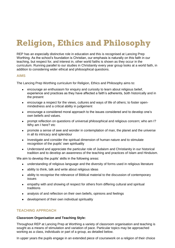## **Religion, Ethics and Philosophy**

REP has an especially distinctive role in education and this is recognised at Lancing Prep Worthing. As the school's foundation is Christian, our emphasis is naturally on this faith in our teaching, but respect for, and interest in, other world faiths is shown as they occur in the curriculum. Running parallel to our studies in Christianity every year group looks at a world faith, in addition to considering wider ethical and philosophical questions.

#### **AIMS**

The Lancing Prep Worthing curriculum for Religion, Ethics and Philosophy aims to:

- encourage an enthusiasm for enquiry and curiosity to learn about religious belief, experience and practices as they have affected a faith's adherents, both historically and in the present
- encourage a respect for the views, cultures and ways of life of others; to foster openmindedness and a critical ability in judgement
- encourage a considered moral approach to the issues considered and to develop one's own beliefs and values.
- prompt reflection on questions of universal philosophical and religious concern; who am I? Why am I here? etc
- promote a sense of awe and wonder in contemplation of man, the planet and the universe in all its intricacy and splendour
- Investigate and consider the spiritual dimension of human nature and to stimulate recognition of the pupils' own spirituality
- Understand and appreciate the particular role of Judaism and Christianity in our historical tradition and to develop an awareness of the teaching and practices of Islam and Hinduism.

We aim to develop the pupils' skills in the following areas:

- understanding of religious language and the diversity of forms used in religious literature
- ability to think, talk and write about religious ideas
- ability to recognise the relevance of Biblical material to the discussion of contemporary issues
- empathy with and showing of respect for others from differing cultural and spiritual traditions
- analysis of and reflection on their own beliefs, opinions and feelings
- development of their own individual spirituality

#### **TEACHING APPROACH**

#### **Classroom Organisation and Teaching Style:**

Throughout REP at Lancing Prep at Worthing a variety of classroom organisation and teaching is sought as a means of stimulation and variation of pace. Particular topics may be approached working as a class, individuals or part of a group, as detailed below.

In upper years the pupils engage in an extended piece of coursework on a religion of their choice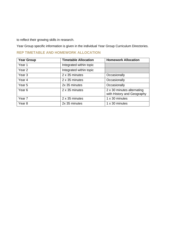to reflect their growing skills in research.

Year Group specific information is given in the individual Year Group Curriculum Directories.

#### **REP TIMETABLE AND HOMEWORK ALLOCATION**

| <b>Year Group</b> | <b>Timetable Allocation</b> | <b>Homework Allocation</b>                               |
|-------------------|-----------------------------|----------------------------------------------------------|
| Year 1            | Integrated within topic     |                                                          |
| Year <sub>2</sub> | Integrated within topic     |                                                          |
| Year <sub>3</sub> | 2 x 35 minutes              | Occasionally                                             |
| Year 4            | 2 x 35 minutes              | Occasionally                                             |
| Year <sub>5</sub> | 2x 35 minutes               | Occasionally                                             |
| Year <sub>6</sub> | 2 x 35 minutes              | 2 x 30 minutes alternating<br>with History and Geography |
| Year <sub>7</sub> | 2 x 35 minutes              | 1 x 30 minutes                                           |
| Year <sub>8</sub> | 2x 35 minutes               | 1 x 30 minutes                                           |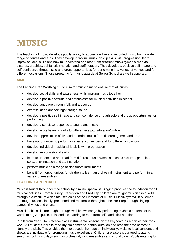## **MUSIC**

The teaching of music develops pupils' ability to appreciate live and recorded music from a wide range of genres and eras. They develop individual musicianship skills with progression, learn improvisational skills and how to understand and read from different music symbols such as pictures, graphics, sol-fa, stick notation and staff notation. They develop a positive self-image and self-confidence through solo and group opportunities for performing in a variety of venues and for different occasions. Those preparing for music awards at Senior School are well supported.

#### **AIMS**

The Lancing Prep Worthing curriculum for music aims to ensure that all pupils:

- develop social skills and awareness whilst making music together
- develop a positive attitude and enthusiasm for musical activities in school
- develop language through folk and art songs
- express ideas and feelings through sound
- develop a positive self-image and self-confidence through solo and group opportunities for performing
- develop a sensitive response to sound and music
- develop acute listening skills to differentiate pitch/duration/timbre
- develop appreciation of live and recorded music from different genres and eras
- have opportunities to perform in a variety of venues and for different occasions
- develop individual musicianship skills with progression
- develop improvisational skills
- learn to understand and read from different music symbols such as pictures, graphics, solfa, stick notation and staff notation
- perform music on a range of classroom instruments
- benefit from opportunities for children to learn an orchestral instrument and perform in a variety of ensembles

#### **TEACHING APPROACH**

Music is taught throughout the school by a music specialist. Singing provides the foundation for all musical activities. From Nursery, Reception and Pre-Prep children are taught musicianship skills through a curriculum which focuses on all of the Elements of Music. Pulse/Rhythm/Pitch/Tempo are taught unconsciously, presented and reinforced throughout the Pre-Prep through singing games, rhymes and chants.

Musicianship skills are taught through well-known songs by performing rhythmic patterns of the words to a given pulse. This leads to learning to read from solfa and stick notation.

Pupils from Year 6 to 8 receive class instrumental lessons on the keyboard as a part of their topic work. All students learn to read rhythm names to identify duration and read the note names to identify the pitch. This enables them to decode the notation individually. Visits to local concerts and shows are invaluable for promoting music excellence. Children are also encouraged to attend senior school music days such as orchestral, wind ensembles and choral days. Pupils entering for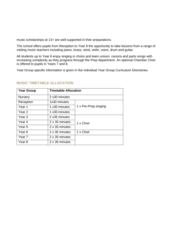music scholarships at 13+ are well supported in their preparations.

The school offers pupils from Reception to Year 8 the opportunity to take lessons from a range of visiting music teachers including piano, brass, wind, violin, voice, drum and guitar.

All students up to Year 6 enjoy singing in choirs and learn unison, canons and parts songs with increasing complexity as they progress through the Prep department. An optional Chamber Choir is offered to pupils in Years 7 and 8.

Year Group specific information is given in the individual Year Group Curriculum Directories.

#### **MUSIC TIMETABLE ALLOCATION**

| <b>Year Group</b> | <b>Timetable Allocation</b> |                      |
|-------------------|-----------------------------|----------------------|
| Nursery           | 2 x30 minutes               |                      |
| Reception         | 1x30 minutes                |                      |
| Year 1            | 1 x30 minutes               | 1 x Pre-Prep singing |
| Year 2            | 1 x30 minutes               |                      |
| Year 3            | 2 x35 minutes               |                      |
| Year 4            | 2 x 35 minutes              | 1 x Choir            |
| Year 5            | 2 x 35 minutes              |                      |
| Year <sub>6</sub> | 2 x 35 minutes              | 1 x Choir            |
| Year 7            | 2 x 35 minutes              |                      |
| Year 8            | 2 x 35 minutes              |                      |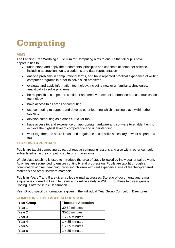## **Computing**

#### **AIMS**

The Lancing Prep Worthing curriculum for Computing aims to ensure that all pupils have opportunities to:

- understand and apply the fundamental principles and concepts of computer science, including abstraction, logic, algorithms and data representation
- analyse problems in computational terms, and have repeated practical experience of writing computer programs in order to solve such problems
- evaluate and apply information technology, including new or unfamiliar technologies, analytically to solve problems
- be responsible, competent, confident and creative users of information and communication technology
- have access to all areas of computing
- use computing to support and develop other learning which is taking place within other subjects
- develop computing as a cross curricular tool
- have access to, and experience of, appropriate hardware and software to enable them to achieve the highest level of competence and understanding
- work together and share ideas, and to gain the social skills necessary to work as part of a team

#### **TEACHING APPROACH**

Pupils are taught computing as part of regular computing lessons and also within other curriculum subjects either in the computing suite or in classrooms.

Whole class teaching is used to introduce the area of study followed by individual or paired work. Activities are sequenced to ensure continuity and progression. Pupils are taught through a combination of direct teaching, providing children with real experience, use of teacher-prepared materials and other software materials.

Pupils in Years 7 and 8 are given college e-mail addresses. Storage of documents and e-mail etiquette is covered in Learn to Learn and on-line safety in PSHEE for these two year groups. Coding is offered in a club situation.

Year Group specific information is given in the individual Year Group Curriculum Directories.

| <b>Year Group</b> | <b>Timetable Allocation</b> |
|-------------------|-----------------------------|
| Year 1            | 30-60 minutes               |
| Year <sub>2</sub> | 30-60 minutes               |
| Year <sub>3</sub> | 1 x 35 minutes              |
| Year 4            | 1 x 35 minutes              |
| Year 5            | 1 x 35 minutes              |
| Year <sub>6</sub> | 1 x 35 minutes              |

#### **COMPUTING TIMETABLE ALLOCATION**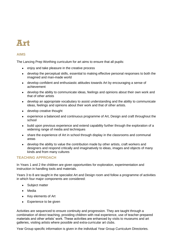

#### **AIMS**

The Lancing Prep Worthing curriculum for art aims to ensure that all pupils:

- enjoy and take pleasure in the creative process
- develop the perceptual skills, essential to making effective personal responses to both the imagined and man-made world
- develop confident and enthusiastic attitudes towards Art by encouraging a sense of achievement
- develop the ability to communicate ideas, feelings and opinions about their own work and that of other artists
- develop an appropriate vocabulary to assist understanding and the ability to communicate ideas, feelings and opinions about their work and that of other artists.
- develop creative thought
- experience a balanced and continuous programme of Art, Design and craft throughout the school
- build upon previous experience and extend capability further through the exploration of a widening range of media and techniques
- share the experience of Art in school through display in the classrooms and communal areas
- develop the ability to value the contribution made by other artists, craft workers and designers and respond critically and imaginatively to ideas, images and objects of many kinds and from many cultures

#### **TEACHING APPROACH**

In Years 1 and 2 the children are given opportunities for exploration, experimentation and instruction in handling tools and materials.

Years 3 to 8 are taught in the specialist Art and Design room and follow a programme of activities in which four major components are considered:

- Subject matter
- Media
- Key elements of Art
- Experience to be given

Activities are sequenced to ensure continuity and progression. They are taught through a combination of direct teaching, providing children with real experience, use of teacher-prepared materials and other artists' work. These activities are enhanced by visits to museums and art galleries, visiting artists where possible and extra-curricular art clubs.

Year Group specific information is given in the individual Year Group Curriculum Directories.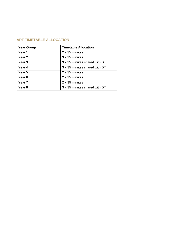#### **ART TIMETABLE ALLOCATION**

| <b>Year Group</b> | <b>Timetable Allocation</b>   |
|-------------------|-------------------------------|
| Year 1            | 2 x 35 minutes                |
| Year 2            | 3 x 35 minutes                |
| Year <sub>3</sub> | 3 x 35 minutes shared with DT |
| Year 4            | 3 x 35 minutes shared with DT |
| Year 5            | 2 x 35 minutes                |
| Year <sub>6</sub> | 2 x 35 minutes                |
| Year 7            | 2 x 35 minutes                |
| Year 8            | 3 x 35 minutes shared with DT |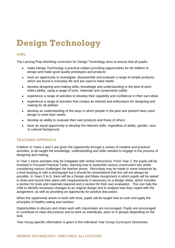# **Design Technology**

#### **AIMS**

The Lancing Prep Worthing curriculum for Design Technology aims to ensure that all pupils:

- make Design Technology a practical subject providing opportunities for all children to design and make good quality prototypes and products
- have an opportunity to investigate, disassemble and evaluate a range of simple products, which are found in everyday life and are used to meet needs
- develop designing and making skills, knowledge and understanding to the best of each child's ability, using a range of tools, materials and components safely
- experience a range of activities to develop their capability and confidence in their own ideas
- experience a range of activities that creates an interest and enthusiasm for designing and making for all abilities
- develop an understanding of the ways in which people in the past and present have used design to meet their needs
- develop an ability to evaluate their own products and those of others
- have an equal opportunity to develop the relevant skills, regardless of ability, gender, race, or cultural background

#### **TEACHING APPROACH**

Children in Years 1 and 2 are given the opportunity through a variety of creative and practical activities, to be taught the knowledge, understanding and skills needed to engage in the process of designing and making.

In Year 1 some activities may be instigated with verbal instructions. From Year 2, the pupils will be involved in Focused Practical Tasks, learning how to assemble various construction kits whilst considering various challenges the teacher poses. Recording may be made in some instances by a final drawing or with a photograph but it should be remembered that this will not always be possible. In Years 3 to 8, there will be a Design and Make Assignment in which pupils will be asked to draw and record their plans with measurements if necessary on a design sheet, which includes a section for tools and materials required and a section for their own evaluation. This can help the child to identify necessary changes to an original design and to analyse how they coped with the assignment, as well as providing an opportunity for positive discussion.

When the opportunity arises to work with food, pupils will be taught how to cook and apply the principles of healthy eating and nutrition.

Opportunities to discuss and share work with classmates are encouraged. Pupils are encouraged to contribute to class discussions and to work as individuals, pairs or in groups depending on the task.

Year Group specific information is given in the individual Year Group Curriculum Directories.

#### **DESIGN TECHNOLOGY TIMETABLE ALLOCATION**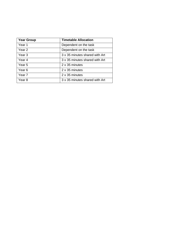| <b>Year Group</b> | <b>Timetable Allocation</b>    |
|-------------------|--------------------------------|
| Year 1            | Dependent on the task          |
| Year 2            | Dependent on the task          |
| Year 3            | 3 x 35 minutes shared with Art |
| Year 4            | 3 x 35 minutes shared with Art |
| Year 5            | 2 x 35 minutes                 |
| Year 6            | 2 x 35 minutes                 |
| Year <sub>7</sub> | 2 x 35 minutes                 |
| Year 8            | 3 x 35 minutes shared with Art |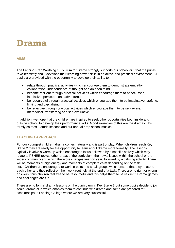### **Drama**

#### **AIMS**

The Lancing Prep Worthing curriculum for Drama strongly supports our school aim that the pupils *love learning* and it develops their learning power skills in an active and practical environment. All pupils are provided with the opportunity to develop their ability to:

- relate through practical activities which encourage them to demonstrate empathy, collaboration, independence of thought and an open mind
- become resilient through practical activities which encourage them to be focussed, inquisitive, persistent and adventurous
- be resourceful through practical activities which encourage them to be imaginative, crafting, linking and capitalising
- be reflective through practical activities which encourage them to be self-aware, methodical, transferring and self-evaluative

In addition, we hope that the children are inspired to seek other opportunities both inside and outside school, to develop their performance skills. Good examples of this are the drama clubs, termly soirees, Lamda lessons and our annual prep school musical.

#### **TEACHING APPROACH**

For our youngest children, drama comes naturally and is part of play. When children reach Key Stage 2 they are ready for the opportunity to learn about drama more formally. The lessons typically involve a warm up which encourages focus, followed by a specific activity which may relate to PSHEE topics, other areas of the curriculum, the news, issues within the school or the wider community and which therefore changes year on year, followed by a calming activity. There will be moments of high energy and moments of complete calm depending on the task set. Children are encouraged to work in pairs and small groups which ensure that they relate to each other and they reflect on their work routinely at the end of a task. There are no right or wrong answers, thus children feel free to be resourceful and this helps them to be resilient. Drama games and challenges are fun!

There are no formal drama lessons on the curriculum in Key Stage 3 but some pupils decide to join senior drama club which enables them to continue with drama and some are prepared for scholarships to Lancing College where we are very successful.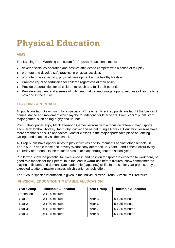## **Physical Education**

#### **AIMS**

The Lancing Prep Worthing curriculum for Physical Education aims to:

- develop social co-operation and positive attitudes to compete with a sense of fair play
- promote and develop safe practice in physical activities
- promote physical activity, physical development and a healthy lifestyle
- Promote equal opportunities for children regardless of their ability
- Provide opportunities for all children to reach and fulfil their potential
- Provide enjoyment and a sense of fulfilment that will encourage a purposeful use of leisure time now and in the future

#### **TEACHING APPROACH**

All pupils are taught swimming by a specialist PE teacher. Pre-Prep pupils are taught the basics of games, dance and movement which lay the foundations for later years. From Year 2 pupils start major games, such as tag rugby and uni-hoc.

Prep School pupils enjoy block afternoon Games lessons with a focus on different major sports each term: football, hockey, tag rugby, cricket and netball. Single Physical Education lessons have more emphasis on skills and tactics. Master classes in the major sports take place at Lancing College and coaches visit the school.

All Prep pupils have opportunities to play in fixtures and tournaments against other schools. In Years 5, 6, 7 and 8 these occur every Wednesday afternoon. In Years 3 and 4 these occur every Thursday afternoon. House matches also take place throughout the school year.

Pupils who show the potential for excellence in and passion for sport are expected to work hard, be good role models for their peers, take the lead in warm-ups before fixtures, show commitment to playing in fixtures and demonstrate leadership (captaincy) skills. In the senior year groups, they are expected to attend master classes which senior schools offer.

Year Group specific information is given in the individual Year Group Curriculum Directories.

#### **PHYSICAL EDUCATION TIMETABLE ALLOCATION**

| <b>Year Group</b> | <b>Timetable Allocation</b> | <b>Year Group</b> | <b>Timetable Allocation</b> |
|-------------------|-----------------------------|-------------------|-----------------------------|
| Reception         | 3 x 30 minutes              |                   |                             |
| Year 1            | 3 x 30 minutes              | Year <sub>5</sub> | 6 x 35 minutes              |
| Year <sub>2</sub> | 3 x 30 minutes              | Year <sub>6</sub> | 5 x 35 minutes              |
| Year <sub>3</sub> | 6 x 35 minutes              | Year 7            | 5 x 35 minutes              |
| Year <sub>4</sub> | 6 x 35 minutes              | Year <sub>8</sub> | 5 x 35 minutes              |